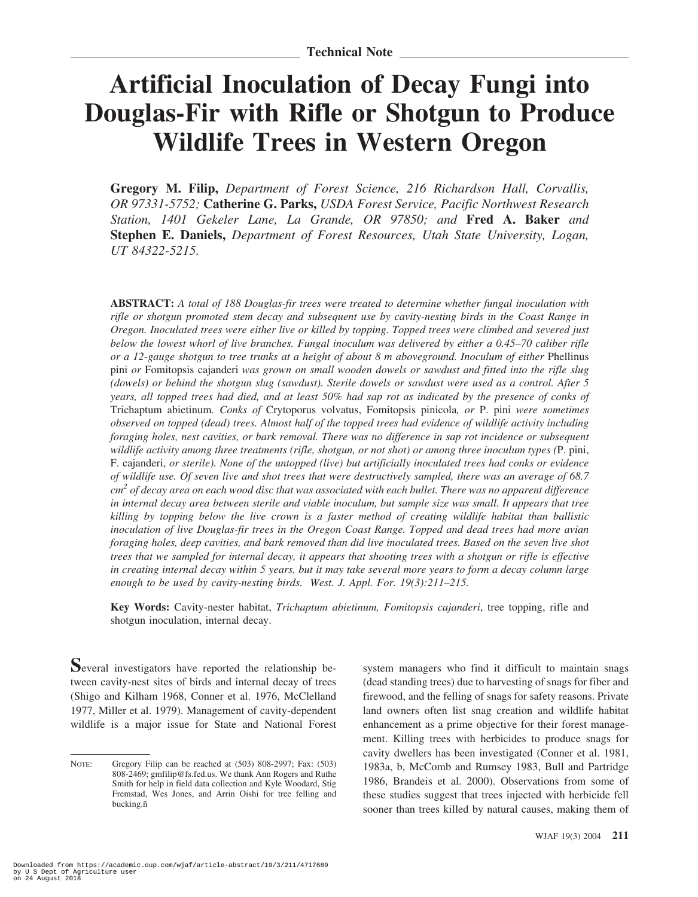## **Artificial Inoculation of Decay Fungi into Douglas-Fir with Rifle or Shotgun to Produce Wildlife Trees in Western Oregon**

**Gregory M. Filip,** *Department of Forest Science, 216 Richardson Hall, Corvallis, OR 97331-5752;* **Catherine G. Parks,** *USDA Forest Service, Pacific Northwest Research Station, 1401 Gekeler Lane, La Grande, OR 97850; and* **Fred A. Baker** *and* **Stephen E. Daniels,** *Department of Forest Resources, Utah State University, Logan, UT 84322-5215.*

**ABSTRACT:** *A total of 188 Douglas-fir trees were treated to determine whether fungal inoculation with rifle or shotgun promoted stem decay and subsequent use by cavity-nesting birds in the Coast Range in Oregon. Inoculated trees were either live or killed by topping. Topped trees were climbed and severed just below the lowest whorl of live branches. Fungal inoculum was delivered by either a 0.45–70 caliber rifle or a 12-gauge shotgun to tree trunks at a height of about 8 m aboveground. Inoculum of either* Phellinus pini *or* Fomitopsis cajanderi *was grown on small wooden dowels or sawdust and fitted into the rifle slug (dowels) or behind the shotgun slug (sawdust). Sterile dowels or sawdust were used as a control. After 5 years, all topped trees had died, and at least 50% had sap rot as indicated by the presence of conks of* Trichaptum abietinum*. Conks of* Crytoporus volvatus, Fomitopsis pinicola*, or* P. pini *were sometimes observed on topped (dead) trees. Almost half of the topped trees had evidence of wildlife activity including foraging holes, nest cavities, or bark removal. There was no difference in sap rot incidence or subsequent wildlife activity among three treatments (rifle, shotgun, or not shot) or among three inoculum types (*P. pini, F. cajanderi, *or sterile). None of the untopped (live) but artificially inoculated trees had conks or evidence of wildlife use. Of seven live and shot trees that were destructively sampled, there was an average of 68.7 cm2 of decay area on each wood disc that was associated with each bullet. There was no apparent difference in internal decay area between sterile and viable inoculum, but sample size was small. It appears that tree killing by topping below the live crown is a faster method of creating wildlife habitat than ballistic inoculation of live Douglas-fir trees in the Oregon Coast Range. Topped and dead trees had more avian foraging holes, deep cavities, and bark removed than did live inoculated trees. Based on the seven live shot trees that we sampled for internal decay, it appears that shooting trees with a shotgun or rifle is effective in creating internal decay within 5 years, but it may take several more years to form a decay column large enough to be used by cavity-nesting birds. West. J. Appl. For. 19(3):211–215.*

**Key Words:** Cavity-nester habitat, *Trichaptum abietinum, Fomitopsis cajanderi*, tree topping, rifle and shotgun inoculation, internal decay.

**S**everal investigators have reported the relationship between cavity-nest sites of birds and internal decay of trees (Shigo and Kilham 1968, Conner et al. 1976, McClelland 1977, Miller et al. 1979). Management of cavity-dependent wildlife is a major issue for State and National Forest

system managers who find it difficult to maintain snags (dead standing trees) due to harvesting of snags for fiber and firewood, and the felling of snags for safety reasons. Private land owners often list snag creation and wildlife habitat enhancement as a prime objective for their forest management. Killing trees with herbicides to produce snags for cavity dwellers has been investigated (Conner et al. 1981, 1983a, b, McComb and Rumsey 1983, Bull and Partridge 1986, Brandeis et al. 2000). Observations from some of these studies suggest that trees injected with herbicide fell sooner than trees killed by natural causes, making them of

NOTE: Gregory Filip can be reached at (503) 808-2997; Fax: (503) 808-2469; gmfilip@fs.fed.us. We thank Ann Rogers and Ruthe Smith for help in field data collection and Kyle Woodard, Stig Fremstad, Wes Jones, and Arrin Oishi for tree felling and bucking.ñ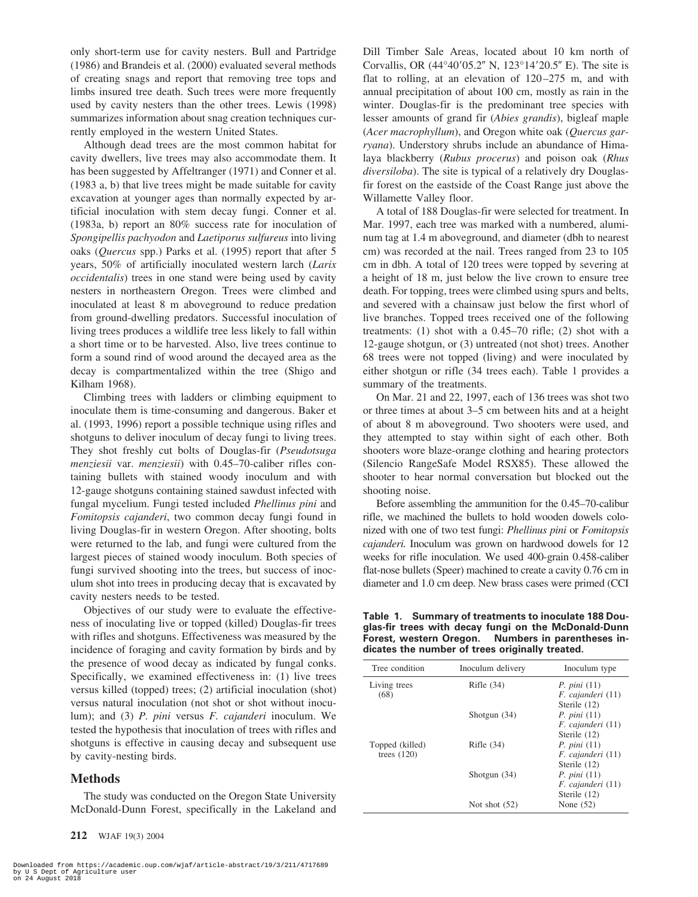only short-term use for cavity nesters. Bull and Partridge (1986) and Brandeis et al. (2000) evaluated several methods of creating snags and report that removing tree tops and limbs insured tree death. Such trees were more frequently used by cavity nesters than the other trees. Lewis (1998) summarizes information about snag creation techniques currently employed in the western United States.

Although dead trees are the most common habitat for cavity dwellers, live trees may also accommodate them. It has been suggested by Affeltranger (1971) and Conner et al. (1983 a, b) that live trees might be made suitable for cavity excavation at younger ages than normally expected by artificial inoculation with stem decay fungi. Conner et al. (1983a, b) report an 80% success rate for inoculation of *Spongipellis pachyodon* and *Laetiporus sulfureus* into living oaks (*Quercus* spp.) Parks et al. (1995) report that after 5 years, 50% of artificially inoculated western larch (*Larix occidentalis*) trees in one stand were being used by cavity nesters in northeastern Oregon. Trees were climbed and inoculated at least 8 m aboveground to reduce predation from ground-dwelling predators. Successful inoculation of living trees produces a wildlife tree less likely to fall within a short time or to be harvested. Also, live trees continue to form a sound rind of wood around the decayed area as the decay is compartmentalized within the tree (Shigo and Kilham 1968).

Climbing trees with ladders or climbing equipment to inoculate them is time-consuming and dangerous. Baker et al. (1993, 1996) report a possible technique using rifles and shotguns to deliver inoculum of decay fungi to living trees. They shot freshly cut bolts of Douglas-fir (*Pseudotsuga menziesii* var. *menziesii*) with 0.45–70-caliber rifles containing bullets with stained woody inoculum and with 12-gauge shotguns containing stained sawdust infected with fungal mycelium. Fungi tested included *Phellinus pini* and *Fomitopsis cajanderi*, two common decay fungi found in living Douglas-fir in western Oregon. After shooting, bolts were returned to the lab, and fungi were cultured from the largest pieces of stained woody inoculum. Both species of fungi survived shooting into the trees, but success of inoculum shot into trees in producing decay that is excavated by cavity nesters needs to be tested.

Objectives of our study were to evaluate the effectiveness of inoculating live or topped (killed) Douglas-fir trees with rifles and shotguns. Effectiveness was measured by the incidence of foraging and cavity formation by birds and by the presence of wood decay as indicated by fungal conks. Specifically, we examined effectiveness in: (1) live trees versus killed (topped) trees; (2) artificial inoculation (shot) versus natural inoculation (not shot or shot without inoculum); and (3) *P. pini* versus *F. cajanderi* inoculum. We tested the hypothesis that inoculation of trees with rifles and shotguns is effective in causing decay and subsequent use by cavity-nesting birds.

## **Methods**

The study was conducted on the Oregon State University McDonald-Dunn Forest, specifically in the Lakeland and Dill Timber Sale Areas, located about 10 km north of Corvallis, OR  $(44^{\circ}40'05.2'' \text{ N}, 123^{\circ}14'20.5'' \text{ E})$ . The site is flat to rolling, at an elevation of 120–275 m, and with annual precipitation of about 100 cm, mostly as rain in the winter. Douglas-fir is the predominant tree species with lesser amounts of grand fir (*Abies grandis*), bigleaf maple (*Acer macrophyllum*), and Oregon white oak (*Quercus garryana*). Understory shrubs include an abundance of Himalaya blackberry (*Rubus procerus*) and poison oak (*Rhus diversiloba*). The site is typical of a relatively dry Douglasfir forest on the eastside of the Coast Range just above the Willamette Valley floor.

A total of 188 Douglas-fir were selected for treatment. In Mar. 1997, each tree was marked with a numbered, aluminum tag at 1.4 m aboveground, and diameter (dbh to nearest cm) was recorded at the nail. Trees ranged from 23 to 105 cm in dbh. A total of 120 trees were topped by severing at a height of 18 m, just below the live crown to ensure tree death. For topping, trees were climbed using spurs and belts, and severed with a chainsaw just below the first whorl of live branches. Topped trees received one of the following treatments: (1) shot with a 0.45–70 rifle; (2) shot with a 12-gauge shotgun, or (3) untreated (not shot) trees. Another 68 trees were not topped (living) and were inoculated by either shotgun or rifle (34 trees each). Table 1 provides a summary of the treatments.

On Mar. 21 and 22, 1997, each of 136 trees was shot two or three times at about 3–5 cm between hits and at a height of about 8 m aboveground. Two shooters were used, and they attempted to stay within sight of each other. Both shooters wore blaze-orange clothing and hearing protectors (Silencio RangeSafe Model RSX85). These allowed the shooter to hear normal conversation but blocked out the shooting noise.

Before assembling the ammunition for the 0.45–70-calibur rifle, we machined the bullets to hold wooden dowels colonized with one of two test fungi: *Phellinus pini* or *Fomitopsis cajanderi.* Inoculum was grown on hardwood dowels for 12 weeks for rifle inoculation. We used 400-grain 0.458-caliber flat-nose bullets (Speer) machined to create a cavity 0.76 cm in diameter and 1.0 cm deep. New brass cases were primed (CCI

**Table 1. Summary of treatments to inoculate 188 Douglas-fir trees with decay fungi on the McDonald-Dunn Forest, western Oregon. Numbers in parentheses indicates the number of trees originally treated.**

| Tree condition       | Inoculum delivery | Inoculum type                    |  |  |
|----------------------|-------------------|----------------------------------|--|--|
| Living trees<br>(68) | Rifle $(34)$      | P. pini(11)<br>F. cajanderi (11) |  |  |
|                      |                   | Sterile (12)                     |  |  |
|                      | Shotgun $(34)$    | P. pini(11)                      |  |  |
|                      |                   | $F.$ cajanderi $(11)$            |  |  |
|                      |                   | Sterile $(12)$                   |  |  |
| Topped (killed)      | Rifle $(34)$      | P. pini(11)                      |  |  |
| trees $(120)$        |                   | F. cajanderi (11)                |  |  |
|                      |                   | Sterile (12)                     |  |  |
|                      | Shotgun $(34)$    | P. pini (11)                     |  |  |
|                      |                   | F. cajanderi (11)                |  |  |
|                      |                   | Sterile (12)                     |  |  |
|                      | Not shot $(52)$   | None $(52)$                      |  |  |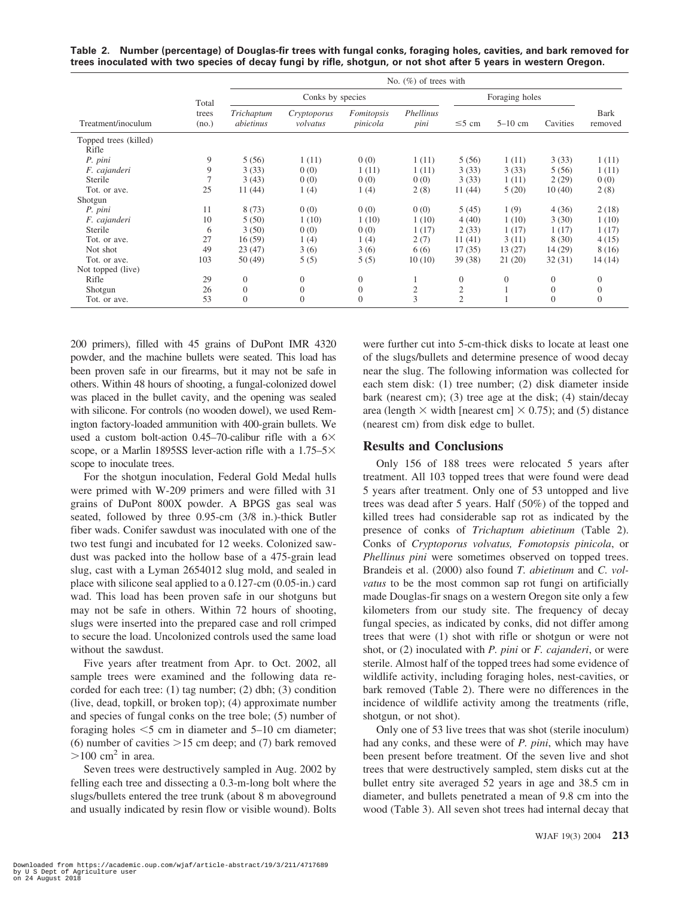|                                                                                                                  |  |  | Table 2. Number (percentage) of Douglas-fir trees with fungal conks, foraging holes, cavities, and bark removed for |
|------------------------------------------------------------------------------------------------------------------|--|--|---------------------------------------------------------------------------------------------------------------------|
| trees inoculated with two species of decay fungi by rifle, shotgun, or not shot after 5 years in western Oregon. |  |  |                                                                                                                     |

|                                |                | No. $(\%)$ of trees with |                         |                        |                   |                  |              |                |                        |
|--------------------------------|----------------|--------------------------|-------------------------|------------------------|-------------------|------------------|--------------|----------------|------------------------|
| Total                          |                | Conks by species         |                         |                        |                   | Foraging holes   |              |                |                        |
| Treatment/inoculum             | trees<br>(no.) | Trichaptum<br>abietinus  | Cryptoporus<br>volvatus | Fomitopsis<br>pinicola | Phellinus<br>pini | $\leq$ 5 cm      | $5-10$ cm    | Cavities       | <b>Bark</b><br>removed |
| Topped trees (killed)<br>Rifle |                |                          |                         |                        |                   |                  |              |                |                        |
| P. pini                        | 9              | 5(56)                    | 1(11)                   | 0(0)                   | 1(11)             | 5(56)            | 1(11)        | 3(33)          | 1(11)                  |
| F. cajanderi                   | 9              | 3(33)                    | 0(0)                    | 1(11)                  | 1(11)             | 3(33)            | 3(33)        | 5(56)          | 1(11)                  |
| Sterile                        |                | 3(43)                    | 0(0)                    | 0(0)                   | 0(0)              | 3(33)            | 1(11)        | 2(29)          | 0(0)                   |
| Tot. or ave.                   | 25             | 11(44)                   | 1(4)                    | 1(4)                   | 2(8)              | 11(44)           | 5(20)        | 10(40)         | 2(8)                   |
| Shotgun                        |                |                          |                         |                        |                   |                  |              |                |                        |
| P. pini                        | 11             | 8(73)                    | 0(0)                    | 0(0)                   | 0(0)              | 5(45)            | 1(9)         | 4(36)          | 2(18)                  |
| F. cajanderi                   | 10             | 5(50)                    | 1(10)                   | 1(10)                  | 1(10)             | 4(40)            | 1(10)        | 3(30)          | 1(10)                  |
| Sterile                        | 6              | 3(50)                    | 0(0)                    | 0(0)                   | 1(17)             | 2(33)            | 1(17)        | 1(17)          | 1(17)                  |
| Tot. or ave.                   | 27             | 16(59)                   | 1(4)                    | 1(4)                   | 2(7)              | 11(41)           | 3(11)        | 8(30)          | 4(15)                  |
| Not shot                       | 49             | 23(47)                   | 3(6)                    | 3(6)                   | 6(6)              | 17(35)           | 13(27)       | 14 (29)        | 8 (16)                 |
| Tot. or ave.                   | 103            | 50(49)                   | 5(5)                    | 5(5)                   | 10(10)            | 39(38)           | 21(20)       | 32(31)         | 14 (14)                |
| Not topped (live)              |                |                          |                         |                        |                   |                  |              |                |                        |
| Rifle                          | 29             | $\overline{0}$           | $\theta$                | $\overline{0}$         |                   | $\boldsymbol{0}$ | $\mathbf{0}$ | $\overline{0}$ | $\overline{0}$         |
| Shotgun                        | 26             | $\overline{0}$           | $\theta$                | $\mathbf{0}$           | $\overline{c}$    | $\mathfrak{2}$   |              | $\overline{0}$ | $\theta$               |
| Tot. or ave.                   | 53             | $\mathbf{0}$             | $\theta$                | $\overline{0}$         | 3                 | $\overline{2}$   |              | $\theta$       | $\Omega$               |

200 primers), filled with 45 grains of DuPont IMR 4320 powder, and the machine bullets were seated. This load has been proven safe in our firearms, but it may not be safe in others. Within 48 hours of shooting, a fungal-colonized dowel was placed in the bullet cavity, and the opening was sealed with silicone. For controls (no wooden dowel), we used Remington factory-loaded ammunition with 400-grain bullets. We used a custom bolt-action 0.45–70-calibur rifle with a  $6\times$ scope, or a Marlin 1895SS lever-action rifle with a  $1.75-5\times$ scope to inoculate trees.

For the shotgun inoculation, Federal Gold Medal hulls were primed with W-209 primers and were filled with 31 grains of DuPont 800X powder. A BPGS gas seal was seated, followed by three 0.95-cm (3/8 in.)-thick Butler fiber wads. Conifer sawdust was inoculated with one of the two test fungi and incubated for 12 weeks. Colonized sawdust was packed into the hollow base of a 475-grain lead slug, cast with a Lyman 2654012 slug mold, and sealed in place with silicone seal applied to a 0.127-cm (0.05-in.) card wad. This load has been proven safe in our shotguns but may not be safe in others. Within 72 hours of shooting, slugs were inserted into the prepared case and roll crimped to secure the load. Uncolonized controls used the same load without the sawdust.

Five years after treatment from Apr. to Oct. 2002, all sample trees were examined and the following data recorded for each tree: (1) tag number; (2) dbh; (3) condition (live, dead, topkill, or broken top); (4) approximate number and species of fungal conks on the tree bole; (5) number of foraging holes  $\leq 5$  cm in diameter and  $5-10$  cm diameter; (6) number of cavities  $>15$  cm deep; and (7) bark removed  $>100$  cm<sup>2</sup> in area.

Seven trees were destructively sampled in Aug. 2002 by felling each tree and dissecting a 0.3-m-long bolt where the slugs/bullets entered the tree trunk (about 8 m aboveground and usually indicated by resin flow or visible wound). Bolts were further cut into 5-cm-thick disks to locate at least one of the slugs/bullets and determine presence of wood decay near the slug. The following information was collected for each stem disk: (1) tree number; (2) disk diameter inside bark (nearest cm); (3) tree age at the disk; (4) stain/decay area (length  $\times$  width [nearest cm]  $\times$  0.75); and (5) distance (nearest cm) from disk edge to bullet.

## **Results and Conclusions**

Only 156 of 188 trees were relocated 5 years after treatment. All 103 topped trees that were found were dead 5 years after treatment. Only one of 53 untopped and live trees was dead after 5 years. Half (50%) of the topped and killed trees had considerable sap rot as indicated by the presence of conks of *Trichaptum abietinum* (Table 2). Conks of *Cryptoporus volvatus, Fomotopsis pinicola*, or *Phellinus pini* were sometimes observed on topped trees. Brandeis et al. (2000) also found *T. abietinum* and *C. volvatus* to be the most common sap rot fungi on artificially made Douglas-fir snags on a western Oregon site only a few kilometers from our study site. The frequency of decay fungal species, as indicated by conks, did not differ among trees that were (1) shot with rifle or shotgun or were not shot, or (2) inoculated with *P. pini* or *F. cajanderi*, or were sterile. Almost half of the topped trees had some evidence of wildlife activity, including foraging holes, nest-cavities, or bark removed (Table 2). There were no differences in the incidence of wildlife activity among the treatments (rifle, shotgun, or not shot).

Only one of 53 live trees that was shot (sterile inoculum) had any conks, and these were of *P. pini*, which may have been present before treatment. Of the seven live and shot trees that were destructively sampled, stem disks cut at the bullet entry site averaged 52 years in age and 38.5 cm in diameter, and bullets penetrated a mean of 9.8 cm into the wood (Table 3). All seven shot trees had internal decay that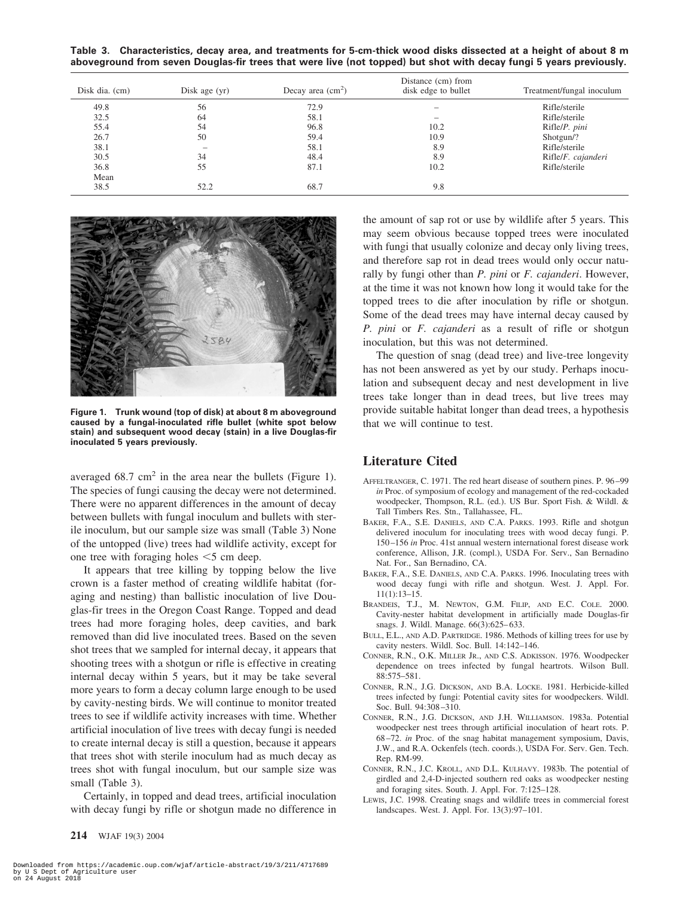**Table 3. Characteristics, decay area, and treatments for 5-cm-thick wood disks dissected at a height of about 8 m aboveground from seven Douglas-fir trees that were live (not topped) but shot with decay fungi 5 years previously.**

| Disk dia. (cm) | Disk age $(yr)$ | Decay area $(cm2)$ | Distance (cm) from<br>disk edge to bullet | Treatment/fungal inoculum |
|----------------|-----------------|--------------------|-------------------------------------------|---------------------------|
| 49.8           | 56              | 72.9               |                                           | Rifle/sterile             |
| 32.5           | 64              | 58.1               | $\overline{\phantom{a}}$                  | Rifle/sterile             |
| 55.4           | 54              | 96.8               | 10.2                                      | Rifle/P. pini             |
| 26.7           | 50              | 59.4               | 10.9                                      | Shotgun/?                 |
| 38.1           |                 | 58.1               | 8.9                                       | Rifle/sterile             |
| 30.5           | 34              | 48.4               | 8.9                                       | Rifle/F. cajanderi        |
| 36.8           | 55              | 87.1               | 10.2                                      | Rifle/sterile             |
| Mean           |                 |                    |                                           |                           |
| 38.5           | 52.2            | 68.7               | 9.8                                       |                           |



**Figure 1. Trunk wound (top of disk) at about 8 m aboveground caused by a fungal-inoculated rifle bullet (white spot below stain) and subsequent wood decay (stain) in a live Douglas-fir inoculated 5 years previously.**

averaged 68.7 cm<sup>2</sup> in the area near the bullets (Figure 1). The species of fungi causing the decay were not determined. There were no apparent differences in the amount of decay between bullets with fungal inoculum and bullets with sterile inoculum, but our sample size was small (Table 3) None of the untopped (live) trees had wildlife activity, except for one tree with foraging holes  $<$  5 cm deep.

It appears that tree killing by topping below the live crown is a faster method of creating wildlife habitat (foraging and nesting) than ballistic inoculation of live Douglas-fir trees in the Oregon Coast Range. Topped and dead trees had more foraging holes, deep cavities, and bark removed than did live inoculated trees. Based on the seven shot trees that we sampled for internal decay, it appears that shooting trees with a shotgun or rifle is effective in creating internal decay within 5 years, but it may be take several more years to form a decay column large enough to be used by cavity-nesting birds. We will continue to monitor treated trees to see if wildlife activity increases with time. Whether artificial inoculation of live trees with decay fungi is needed to create internal decay is still a question, because it appears that trees shot with sterile inoculum had as much decay as trees shot with fungal inoculum, but our sample size was small (Table 3).

Certainly, in topped and dead trees, artificial inoculation with decay fungi by rifle or shotgun made no difference in the amount of sap rot or use by wildlife after 5 years. This may seem obvious because topped trees were inoculated with fungi that usually colonize and decay only living trees, and therefore sap rot in dead trees would only occur naturally by fungi other than *P. pini* or *F. cajanderi*. However, at the time it was not known how long it would take for the topped trees to die after inoculation by rifle or shotgun. Some of the dead trees may have internal decay caused by *P. pini* or *F. cajanderi* as a result of rifle or shotgun inoculation, but this was not determined.

The question of snag (dead tree) and live-tree longevity has not been answered as yet by our study. Perhaps inoculation and subsequent decay and nest development in live trees take longer than in dead trees, but live trees may provide suitable habitat longer than dead trees, a hypothesis that we will continue to test.

## **Literature Cited**

- AFFELTRANGER, C. 1971. The red heart disease of southern pines. P. 96–99 *in* Proc. of symposium of ecology and management of the red-cockaded woodpecker, Thompson, R.L. (ed.). US Bur. Sport Fish. & Wildl. & Tall Timbers Res. Stn., Tallahassee, FL.
- BAKER, F.A., S.E. DANIELS, AND C.A. PARKS. 1993. Rifle and shotgun delivered inoculum for inoculating trees with wood decay fungi. P. 150–156 *in* Proc. 41st annual western international forest disease work conference, Allison, J.R. (compl.), USDA For. Serv., San Bernadino Nat. For., San Bernadino, CA.
- BAKER, F.A., S.E. DANIELS, AND C.A. PARKS. 1996. Inoculating trees with wood decay fungi with rifle and shotgun. West. J. Appl. For. 11(1):13–15.
- BRANDEIS, T.J., M. NEWTON, G.M. FILIP, AND E.C. COLE. 2000. Cavity-nester habitat development in artificially made Douglas-fir snags. J. Wildl. Manage. 66(3):625–633.
- BULL, E.L., AND A.D. PARTRIDGE. 1986. Methods of killing trees for use by cavity nesters. Wildl. Soc. Bull. 14:142–146.
- CONNER, R.N., O.K. MILLER JR., AND C.S. ADKISSON. 1976. Woodpecker dependence on trees infected by fungal heartrots. Wilson Bull. 88:575–581.
- CONNER, R.N., J.G. DICKSON, AND B.A. LOCKE. 1981. Herbicide-killed trees infected by fungi: Potential cavity sites for woodpeckers. Wildl. Soc. Bull. 94:308–310.
- CONNER, R.N., J.G. DICKSON, AND J.H. WILLIAMSON. 1983a. Potential woodpecker nest trees through artificial inoculation of heart rots. P. 68–72. *in* Proc. of the snag habitat management symposium, Davis, J.W., and R.A. Ockenfels (tech. coords.), USDA For. Serv. Gen. Tech. Rep. RM-99.
- CONNER, R.N., J.C. KROLL, AND D.L. KULHAVY. 1983b. The potential of girdled and 2,4-D-injected southern red oaks as woodpecker nesting and foraging sites. South. J. Appl. For. 7:125–128.
- LEWIS, J.C. 1998. Creating snags and wildlife trees in commercial forest landscapes. West. J. Appl. For. 13(3):97–101.